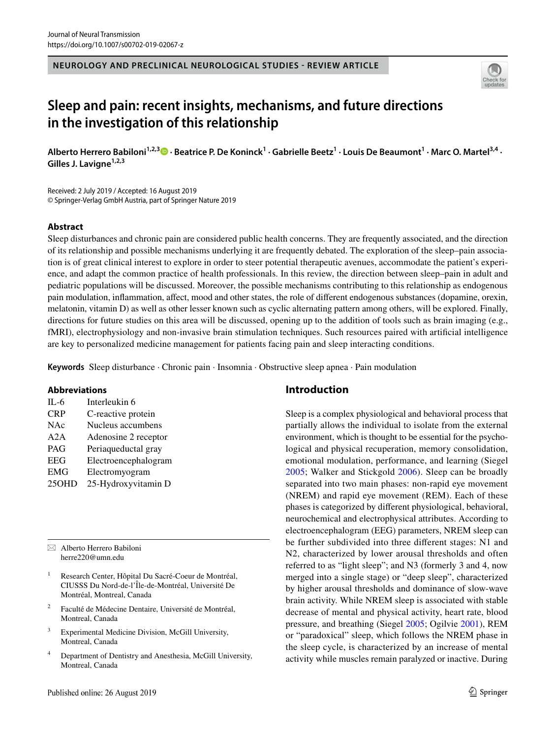## **NEUROLOGY AND PRECLINICAL NEUROLOGICAL STUDIES - REVIEW ARTICLE**



# **Sleep and pain: recent insights, mechanisms, and future directions in the investigation of this relationship**

**Alberto Herrero Babiloni1,2,3 · Beatrice P. De Koninck1 · Gabrielle Beetz<sup>1</sup> · Louis De Beaumont1 · Marc O. Martel3,4 ·**  Gilles J. Lavigne<sup>1,2,3</sup>

Received: 2 July 2019 / Accepted: 16 August 2019 © Springer-Verlag GmbH Austria, part of Springer Nature 2019

# **Abstract**

Sleep disturbances and chronic pain are considered public health concerns. They are frequently associated, and the direction of its relationship and possible mechanisms underlying it are frequently debated. The exploration of the sleep–pain association is of great clinical interest to explore in order to steer potential therapeutic avenues, accommodate the patient's experience, and adapt the common practice of health professionals. In this review, the direction between sleep–pain in adult and pediatric populations will be discussed. Moreover, the possible mechanisms contributing to this relationship as endogenous pain modulation, infammation, afect, mood and other states, the role of diferent endogenous substances (dopamine, orexin, melatonin, vitamin D) as well as other lesser known such as cyclic alternating pattern among others, will be explored. Finally, directions for future studies on this area will be discussed, opening up to the addition of tools such as brain imaging (e.g., fMRI), electrophysiology and non-invasive brain stimulation techniques. Such resources paired with artifcial intelligence are key to personalized medicine management for patients facing pain and sleep interacting conditions.

**Keywords** Sleep disturbance · Chronic pain · Insomnia · Obstructive sleep apnea · Pain modulation

# **Abbreviations**

| $IL-6$     | Interleukin 6        |
|------------|----------------------|
| <b>CRP</b> | C-reactive protein   |
| NAc        | Nucleus accumbens    |
| A2A        | Adenosine 2 receptor |
| PAG        | Periaqueductal gray  |
| <b>EEG</b> | Electroencephalogram |
| <b>EMG</b> | Electromyogram       |
| 25OHD      | 25-Hydroxyvitamin D  |
|            |                      |

 $\boxtimes$  Alberto Herrero Babiloni herre220@umn.edu

- Research Center, Hôpital Du Sacré-Coeur de Montréal, CIUSSS Du Nord-de-l'Île-de-Montréal, Université De Montréal, Montreal, Canada
- <sup>2</sup> Faculté de Médecine Dentaire, Université de Montréal, Montreal, Canada
- <sup>3</sup> Experimental Medicine Division, McGill University, Montreal, Canada
- <sup>4</sup> Department of Dentistry and Anesthesia, McGill University, Montreal, Canada

# **Introduction**

Sleep is a complex physiological and behavioral process that partially allows the individual to isolate from the external environment, which is thought to be essential for the psychological and physical recuperation, memory consolidation, emotional modulation, performance, and learning (Siegel [2005;](#page-12-0) Walker and Stickgold [2006](#page-13-0)). Sleep can be broadly separated into two main phases: non-rapid eye movement (NREM) and rapid eye movement (REM). Each of these phases is categorized by diferent physiological, behavioral, neurochemical and electrophysical attributes. According to electroencephalogram (EEG) parameters, NREM sleep can be further subdivided into three diferent stages: N1 and N2, characterized by lower arousal thresholds and often referred to as "light sleep"; and N3 (formerly 3 and 4, now merged into a single stage) or "deep sleep", characterized by higher arousal thresholds and dominance of slow-wave brain activity. While NREM sleep is associated with stable decrease of mental and physical activity, heart rate, blood pressure, and breathing (Siegel [2005](#page-12-0); Ogilvie [2001\)](#page-12-1), REM or "paradoxical" sleep, which follows the NREM phase in the sleep cycle, is characterized by an increase of mental activity while muscles remain paralyzed or inactive. During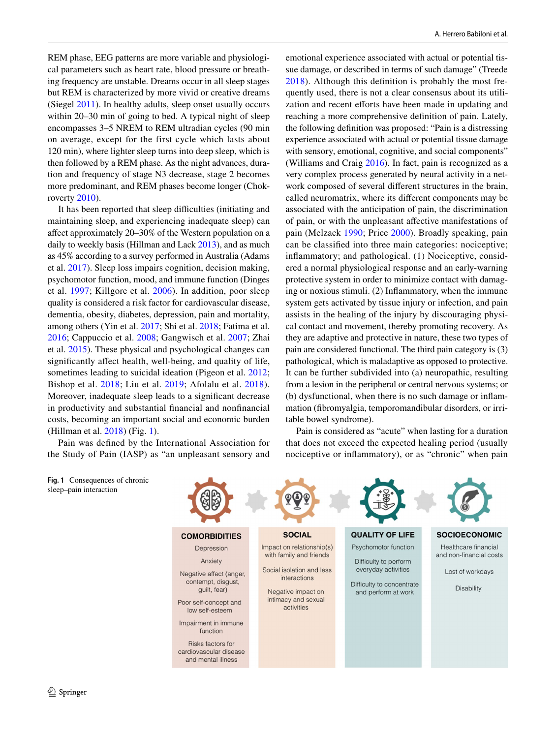REM phase, EEG patterns are more variable and physiological parameters such as heart rate, blood pressure or breathing frequency are unstable. Dreams occur in all sleep stages but REM is characterized by more vivid or creative dreams (Siegel [2011](#page-12-2)). In healthy adults, sleep onset usually occurs within 20–30 min of going to bed. A typical night of sleep encompasses 3–5 NREM to REM ultradian cycles (90 min on average, except for the first cycle which lasts about 120 min), where lighter sleep turns into deep sleep, which is then followed by a REM phase. As the night advances, duration and frequency of stage N3 decrease, stage 2 becomes more predominant, and REM phases become longer (Chokroverty [2010\)](#page-10-0).

It has been reported that sleep difficulties (initiating and maintaining sleep, and experiencing inadequate sleep) can afect approximately 20–30% of the Western population on a daily to weekly basis (Hillman and Lack [2013](#page-10-1)), and as much as 45% according to a survey performed in Australia (Adams et al. [2017](#page-9-0)). Sleep loss impairs cognition, decision making, psychomotor function, mood, and immune function (Dinges et al. [1997;](#page-10-2) Killgore et al. [2006\)](#page-11-0). In addition, poor sleep quality is considered a risk factor for cardiovascular disease, dementia, obesity, diabetes, depression, pain and mortality, among others (Yin et al. [2017;](#page-13-1) Shi et al. [2018](#page-12-3); Fatima et al. [2016](#page-10-3); Cappuccio et al. [2008](#page-10-4); Gangwisch et al. [2007;](#page-10-5) Zhai et al. [2015](#page-13-2)). These physical and psychological changes can significantly affect health, well-being, and quality of life, sometimes leading to suicidal ideation (Pigeon et al. [2012](#page-12-4); Bishop et al. [2018;](#page-9-1) Liu et al. [2019](#page-11-1); Afolalu et al. [2018](#page-9-2)). Moreover, inadequate sleep leads to a signifcant decrease in productivity and substantial fnancial and nonfnancial costs, becoming an important social and economic burden (Hillman et al. [2018](#page-10-6)) (Fig. [1\)](#page-1-0).

Pain was defned by the International Association for the Study of Pain (IASP) as "an unpleasant sensory and emotional experience associated with actual or potential tissue damage, or described in terms of such damage" (Treede [2018\)](#page-13-3). Although this defnition is probably the most frequently used, there is not a clear consensus about its utilization and recent efforts have been made in updating and reaching a more comprehensive defnition of pain. Lately, the following defnition was proposed: "Pain is a distressing experience associated with actual or potential tissue damage with sensory, emotional, cognitive, and social components" (Williams and Craig [2016\)](#page-13-4). In fact, pain is recognized as a very complex process generated by neural activity in a network composed of several diferent structures in the brain, called neuromatrix, where its diferent components may be associated with the anticipation of pain, the discrimination of pain, or with the unpleasant afective manifestations of pain (Melzack [1990;](#page-11-2) Price [2000\)](#page-12-5). Broadly speaking, pain can be classifed into three main categories: nociceptive; infammatory; and pathological. (1) Nociceptive, considered a normal physiological response and an early-warning protective system in order to minimize contact with damaging or noxious stimuli. (2) Infammatory, when the immune system gets activated by tissue injury or infection, and pain assists in the healing of the injury by discouraging physical contact and movement, thereby promoting recovery. As they are adaptive and protective in nature, these two types of pain are considered functional. The third pain category is (3) pathological, which is maladaptive as opposed to protective. It can be further subdivided into (a) neuropathic, resulting from a lesion in the peripheral or central nervous systems; or (b) dysfunctional, when there is no such damage or infammation (fbromyalgia, temporomandibular disorders, or irritable bowel syndrome).

Pain is considered as "acute" when lasting for a duration that does not exceed the expected healing period (usually nociceptive or infammatory), or as "chronic" when pain

<span id="page-1-0"></span>**Fig. 1** Consequences of chronic sleep–pain interaction

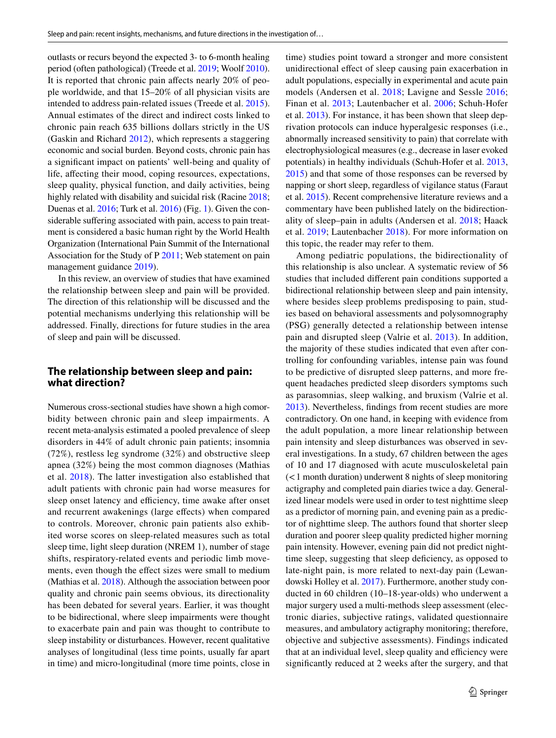outlasts or recurs beyond the expected 3- to 6-month healing period (often pathological) (Treede et al. [2019;](#page-13-5) Woolf [2010](#page-13-6)). It is reported that chronic pain afects nearly 20% of people worldwide, and that 15–20% of all physician visits are intended to address pain-related issues (Treede et al. [2015](#page-13-7)). Annual estimates of the direct and indirect costs linked to chronic pain reach 635 billions dollars strictly in the US (Gaskin and Richard [2012\)](#page-10-7), which represents a staggering economic and social burden. Beyond costs, chronic pain has a signifcant impact on patients' well-being and quality of life, affecting their mood, coping resources, expectations, sleep quality, physical function, and daily activities, being highly related with disability and suicidal risk (Racine [2018](#page-12-6); Duenas et al. [2016](#page-13-8); Turk et al. 2016) (Fig. [1\)](#page-1-0). Given the considerable suffering associated with pain, access to pain treatment is considered a basic human right by the World Health Organization (International Pain Summit of the International Association for the Study of P [2011](#page-11-3); Web statement on pain management guidance [2019](#page-13-9)).

In this review, an overview of studies that have examined the relationship between sleep and pain will be provided. The direction of this relationship will be discussed and the potential mechanisms underlying this relationship will be addressed. Finally, directions for future studies in the area of sleep and pain will be discussed.

# **The relationship between sleep and pain: what direction?**

Numerous cross-sectional studies have shown a high comorbidity between chronic pain and sleep impairments. A recent meta-analysis estimated a pooled prevalence of sleep disorders in 44% of adult chronic pain patients; insomnia (72%), restless leg syndrome (32%) and obstructive sleep apnea (32%) being the most common diagnoses (Mathias et al. [2018](#page-11-4)). The latter investigation also established that adult patients with chronic pain had worse measures for sleep onset latency and efficiency, time awake after onset and recurrent awakenings (large efects) when compared to controls. Moreover, chronic pain patients also exhibited worse scores on sleep-related measures such as total sleep time, light sleep duration (NREM 1), number of stage shifts, respiratory-related events and periodic limb movements, even though the efect sizes were small to medium (Mathias et al. [2018\)](#page-11-4). Although the association between poor quality and chronic pain seems obvious, its directionality has been debated for several years. Earlier, it was thought to be bidirectional, where sleep impairments were thought to exacerbate pain and pain was thought to contribute to sleep instability or disturbances. However, recent qualitative analyses of longitudinal (less time points, usually far apart in time) and micro-longitudinal (more time points, close in time) studies point toward a stronger and more consistent unidirectional efect of sleep causing pain exacerbation in adult populations, especially in experimental and acute pain models (Andersen et al. [2018](#page-9-3); Lavigne and Sessle [2016](#page-11-5); Finan et al. [2013;](#page-10-9) Lautenbacher et al. [2006;](#page-11-6) Schuh-Hofer et al. [2013](#page-12-7)). For instance, it has been shown that sleep deprivation protocols can induce hyperalgesic responses (i.e., abnormally increased sensitivity to pain) that correlate with electrophysiological measures (e.g., decrease in laser evoked potentials) in healthy individuals (Schuh-Hofer et al. [2013,](#page-12-7) [2015](#page-12-8)) and that some of those responses can be reversed by napping or short sleep, regardless of vigilance status (Faraut et al. [2015](#page-10-10)). Recent comprehensive literature reviews and a commentary have been published lately on the bidirectionality of sleep–pain in adults (Andersen et al. [2018;](#page-9-3) Haack et al. [2019](#page-10-11); Lautenbacher [2018\)](#page-11-7). For more information on this topic, the reader may refer to them.

Among pediatric populations, the bidirectionality of this relationship is also unclear. A systematic review of 56 studies that included diferent pain conditions supported a bidirectional relationship between sleep and pain intensity, where besides sleep problems predisposing to pain, studies based on behavioral assessments and polysomnography (PSG) generally detected a relationship between intense pain and disrupted sleep (Valrie et al. [2013](#page-13-10)). In addition, the majority of these studies indicated that even after controlling for confounding variables, intense pain was found to be predictive of disrupted sleep patterns, and more frequent headaches predicted sleep disorders symptoms such as parasomnias, sleep walking, and bruxism (Valrie et al. [2013](#page-13-10)). Nevertheless, fndings from recent studies are more contradictory. On one hand, in keeping with evidence from the adult population, a more linear relationship between pain intensity and sleep disturbances was observed in several investigations. In a study, 67 children between the ages of 10 and 17 diagnosed with acute musculoskeletal pain (<1 month duration) underwent 8 nights of sleep monitoring actigraphy and completed pain diaries twice a day. Generalized linear models were used in order to test nighttime sleep as a predictor of morning pain, and evening pain as a predictor of nighttime sleep. The authors found that shorter sleep duration and poorer sleep quality predicted higher morning pain intensity. However, evening pain did not predict nighttime sleep, suggesting that sleep defciency, as opposed to late-night pain, is more related to next-day pain (Lewandowski Holley et al. [2017](#page-11-8)). Furthermore, another study conducted in 60 children (10–18-year-olds) who underwent a major surgery used a multi-methods sleep assessment (electronic diaries, subjective ratings, validated questionnaire measures, and ambulatory actigraphy monitoring; therefore, objective and subjective assessments). Findings indicated that at an individual level, sleep quality and efficiency were signifcantly reduced at 2 weeks after the surgery, and that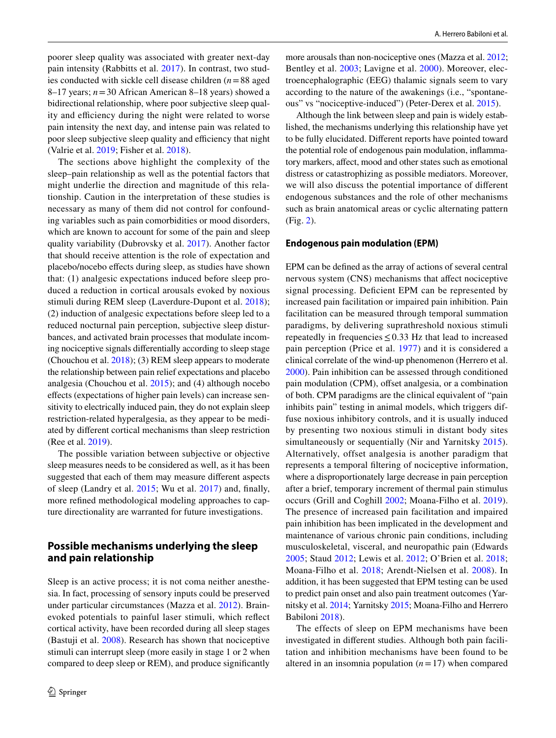poorer sleep quality was associated with greater next-day pain intensity (Rabbitts et al. [2017](#page-12-9)). In contrast, two studies conducted with sickle cell disease children (*n*=88 aged 8–17 years; *n*=30 African American 8–18 years) showed a bidirectional relationship, where poor subjective sleep quality and efficiency during the night were related to worse pain intensity the next day, and intense pain was related to poor sleep subjective sleep quality and efficiency that night (Valrie et al. [2019;](#page-13-11) Fisher et al. [2018\)](#page-10-12).

The sections above highlight the complexity of the sleep–pain relationship as well as the potential factors that might underlie the direction and magnitude of this relationship. Caution in the interpretation of these studies is necessary as many of them did not control for confounding variables such as pain comorbidities or mood disorders, which are known to account for some of the pain and sleep quality variability (Dubrovsky et al. [2017\)](#page-10-13). Another factor that should receive attention is the role of expectation and placebo/nocebo efects during sleep, as studies have shown that: (1) analgesic expectations induced before sleep produced a reduction in cortical arousals evoked by noxious stimuli during REM sleep (Laverdure-Dupont et al. [2018\)](#page-11-9); (2) induction of analgesic expectations before sleep led to a reduced nocturnal pain perception, subjective sleep disturbances, and activated brain processes that modulate incoming nociceptive signals diferentially according to sleep stage (Chouchou et al. [2018](#page-10-14)); (3) REM sleep appears to moderate the relationship between pain relief expectations and placebo analgesia (Chouchou et al. [2015](#page-10-15)); and (4) although nocebo efects (expectations of higher pain levels) can increase sensitivity to electrically induced pain, they do not explain sleep restriction-related hyperalgesia, as they appear to be mediated by diferent cortical mechanisms than sleep restriction (Ree et al. [2019\)](#page-12-10).

The possible variation between subjective or objective sleep measures needs to be considered as well, as it has been suggested that each of them may measure diferent aspects of sleep (Landry et al. [2015](#page-11-10); Wu et al. [2017](#page-13-12)) and, fnally, more refned methodological modeling approaches to capture directionality are warranted for future investigations.

# **Possible mechanisms underlying the sleep and pain relationship**

Sleep is an active process; it is not coma neither anesthesia. In fact, processing of sensory inputs could be preserved under particular circumstances (Mazza et al. [2012\)](#page-11-11). Brainevoked potentials to painful laser stimuli, which refect cortical activity, have been recorded during all sleep stages (Bastuji et al. [2008\)](#page-9-4). Research has shown that nociceptive stimuli can interrupt sleep (more easily in stage 1 or 2 when compared to deep sleep or REM), and produce signifcantly more arousals than non-nociceptive ones (Mazza et al. [2012](#page-11-11); Bentley et al. [2003;](#page-9-5) Lavigne et al. [2000](#page-11-12)). Moreover, electroencephalographic (EEG) thalamic signals seem to vary according to the nature of the awakenings (i.e., "spontaneous" vs "nociceptive-induced") (Peter-Derex et al. [2015](#page-12-11)).

Although the link between sleep and pain is widely established, the mechanisms underlying this relationship have yet to be fully elucidated. Diferent reports have pointed toward the potential role of endogenous pain modulation, infammatory markers, affect, mood and other states such as emotional distress or catastrophizing as possible mediators. Moreover, we will also discuss the potential importance of diferent endogenous substances and the role of other mechanisms such as brain anatomical areas or cyclic alternating pattern (Fig. [2\)](#page-4-0).

### **Endogenous pain modulation (EPM)**

EPM can be defned as the array of actions of several central nervous system (CNS) mechanisms that affect nociceptive signal processing. Deficient EPM can be represented by increased pain facilitation or impaired pain inhibition. Pain facilitation can be measured through temporal summation paradigms, by delivering suprathreshold noxious stimuli repeatedly in frequencies≤0.33 Hz that lead to increased pain perception (Price et al. [1977](#page-12-12)) and it is considered a clinical correlate of the wind-up phenomenon (Herrero et al. [2000](#page-10-16)). Pain inhibition can be assessed through conditioned pain modulation (CPM), offset analgesia, or a combination of both. CPM paradigms are the clinical equivalent of "pain inhibits pain" testing in animal models, which triggers diffuse noxious inhibitory controls, and it is usually induced by presenting two noxious stimuli in distant body sites simultaneously or sequentially (Nir and Yarnitsky [2015](#page-12-13)). Alternatively, offset analgesia is another paradigm that represents a temporal fltering of nociceptive information, where a disproportionately large decrease in pain perception after a brief, temporary increment of thermal pain stimulus occurs (Grill and Coghill [2002](#page-10-17); Moana-Filho et al. [2019](#page-11-13)). The presence of increased pain facilitation and impaired pain inhibition has been implicated in the development and maintenance of various chronic pain conditions, including musculoskeletal, visceral, and neuropathic pain (Edwards [2005;](#page-10-18) Staud [2012;](#page-13-13) Lewis et al. [2012;](#page-11-14) O'Brien et al. [2018](#page-12-14); Moana-Filho et al. [2018](#page-11-15); Arendt-Nielsen et al. [2008](#page-9-6)). In addition, it has been suggested that EPM testing can be used to predict pain onset and also pain treatment outcomes (Yarnitsky et al. [2014](#page-13-14); Yarnitsky [2015](#page-13-15); Moana-Filho and Herrero Babiloni [2018\)](#page-11-16).

The effects of sleep on EPM mechanisms have been investigated in diferent studies. Although both pain facilitation and inhibition mechanisms have been found to be altered in an insomnia population  $(n=17)$  when compared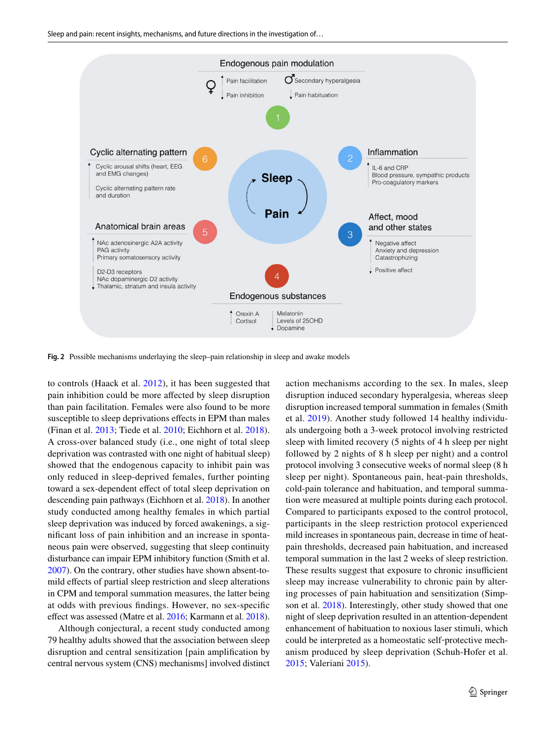

<span id="page-4-0"></span>**Fig. 2** Possible mechanisms underlaying the sleep–pain relationship in sleep and awake models

to controls (Haack et al. [2012](#page-10-19)), it has been suggested that pain inhibition could be more afected by sleep disruption than pain facilitation. Females were also found to be more susceptible to sleep deprivations efects in EPM than males (Finan et al. [2013](#page-10-9); Tiede et al. [2010;](#page-13-16) Eichhorn et al. [2018](#page-10-20)). A cross-over balanced study (i.e., one night of total sleep deprivation was contrasted with one night of habitual sleep) showed that the endogenous capacity to inhibit pain was only reduced in sleep-deprived females, further pointing toward a sex-dependent effect of total sleep deprivation on descending pain pathways (Eichhorn et al. [2018\)](#page-10-20). In another study conducted among healthy females in which partial sleep deprivation was induced by forced awakenings, a signifcant loss of pain inhibition and an increase in spontaneous pain were observed, suggesting that sleep continuity disturbance can impair EPM inhibitory function (Smith et al. [2007](#page-12-15)). On the contrary, other studies have shown absent-tomild efects of partial sleep restriction and sleep alterations in CPM and temporal summation measures, the latter being at odds with previous fndings. However, no sex-specifc efect was assessed (Matre et al. [2016](#page-11-17); Karmann et al. [2018](#page-11-18)).

Although conjectural, a recent study conducted among 79 healthy adults showed that the association between sleep disruption and central sensitization [pain amplifcation by central nervous system (CNS) mechanisms] involved distinct action mechanisms according to the sex. In males, sleep disruption induced secondary hyperalgesia, whereas sleep disruption increased temporal summation in females (Smith et al. [2019](#page-13-17)). Another study followed 14 healthy individuals undergoing both a 3-week protocol involving restricted sleep with limited recovery (5 nights of 4 h sleep per night followed by 2 nights of 8 h sleep per night) and a control protocol involving 3 consecutive weeks of normal sleep (8 h sleep per night). Spontaneous pain, heat-pain thresholds, cold-pain tolerance and habituation, and temporal summation were measured at multiple points during each protocol. Compared to participants exposed to the control protocol, participants in the sleep restriction protocol experienced mild increases in spontaneous pain, decrease in time of heatpain thresholds, decreased pain habituation, and increased temporal summation in the last 2 weeks of sleep restriction. These results suggest that exposure to chronic insufficient sleep may increase vulnerability to chronic pain by altering processes of pain habituation and sensitization (Simpson et al. [2018\)](#page-12-16). Interestingly, other study showed that one night of sleep deprivation resulted in an attention‐dependent enhancement of habituation to noxious laser stimuli, which could be interpreted as a homeostatic self‐protective mechanism produced by sleep deprivation (Schuh-Hofer et al. [2015](#page-12-8); Valeriani [2015](#page-13-18)).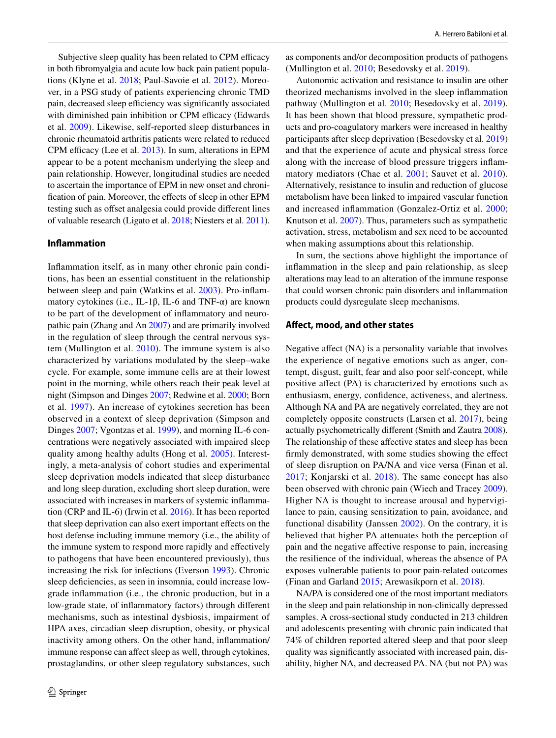Subjective sleep quality has been related to CPM efficacy in both fbromyalgia and acute low back pain patient populations (Klyne et al. [2018;](#page-11-19) Paul-Savoie et al. [2012\)](#page-12-17). Moreover, in a PSG study of patients experiencing chronic TMD pain, decreased sleep efficiency was significantly associated with diminished pain inhibition or CPM efficacy (Edwards et al. [2009\)](#page-10-21). Likewise, self-reported sleep disturbances in chronic rheumatoid arthritis patients were related to reduced CPM efficacy (Lee et al.  $2013$ ). In sum, alterations in EPM appear to be a potent mechanism underlying the sleep and pain relationship. However, longitudinal studies are needed to ascertain the importance of EPM in new onset and chronifcation of pain. Moreover, the efects of sleep in other EPM testing such as offset analgesia could provide different lines of valuable research (Ligato et al. [2018](#page-11-21); Niesters et al. [2011](#page-12-18)).

## **Infammation**

Infammation itself, as in many other chronic pain conditions, has been an essential constituent in the relationship between sleep and pain (Watkins et al. [2003](#page-13-19)). Pro-infammatory cytokines (i.e., IL-1β, IL-6 and TNF- $\alpha$ ) are known to be part of the development of infammatory and neuropathic pain (Zhang and An [2007](#page-13-20)) and are primarily involved in the regulation of sleep through the central nervous system (Mullington et al. [2010](#page-12-19)). The immune system is also characterized by variations modulated by the sleep–wake cycle. For example, some immune cells are at their lowest point in the morning, while others reach their peak level at night (Simpson and Dinges [2007;](#page-12-20) Redwine et al. [2000](#page-12-21); Born et al. [1997\)](#page-9-7). An increase of cytokines secretion has been observed in a context of sleep deprivation (Simpson and Dinges [2007](#page-12-20); Vgontzas et al. [1999\)](#page-13-21), and morning IL-6 concentrations were negatively associated with impaired sleep quality among healthy adults (Hong et al. [2005](#page-10-22)). Interestingly, a meta-analysis of cohort studies and experimental sleep deprivation models indicated that sleep disturbance and long sleep duration, excluding short sleep duration, were associated with increases in markers of systemic infammation (CRP and IL-6) (Irwin et al. [2016](#page-11-22)). It has been reported that sleep deprivation can also exert important effects on the host defense including immune memory (i.e., the ability of the immune system to respond more rapidly and efectively to pathogens that have been encountered previously), thus increasing the risk for infections (Everson [1993](#page-10-23)). Chronic sleep deficiencies, as seen in insomnia, could increase lowgrade infammation (i.e., the chronic production, but in a low-grade state, of infammatory factors) through diferent mechanisms, such as intestinal dysbiosis, impairment of HPA axes, circadian sleep disruption, obesity, or physical inactivity among others. On the other hand, infammation/ immune response can affect sleep as well, through cytokines, prostaglandins, or other sleep regulatory substances, such as components and/or decomposition products of pathogens (Mullington et al. [2010;](#page-12-19) Besedovsky et al. [2019\)](#page-9-8).

Autonomic activation and resistance to insulin are other theorized mechanisms involved in the sleep infammation pathway (Mullington et al. [2010;](#page-12-19) Besedovsky et al. [2019](#page-9-8)). It has been shown that blood pressure, sympathetic products and pro-coagulatory markers were increased in healthy participants after sleep deprivation (Besedovsky et al. [2019\)](#page-9-8) and that the experience of acute and physical stress force along with the increase of blood pressure triggers infammatory mediators (Chae et al. [2001](#page-10-24); Sauvet et al. [2010](#page-12-22)). Alternatively, resistance to insulin and reduction of glucose metabolism have been linked to impaired vascular function and increased infammation (Gonzalez-Ortiz et al. [2000](#page-10-25); Knutson et al. [2007](#page-11-23)). Thus, parameters such as sympathetic activation, stress, metabolism and sex need to be accounted when making assumptions about this relationship.

In sum, the sections above highlight the importance of infammation in the sleep and pain relationship, as sleep alterations may lead to an alteration of the immune response that could worsen chronic pain disorders and infammation products could dysregulate sleep mechanisms.

#### **Afect, mood, and other states**

Negative affect (NA) is a personality variable that involves the experience of negative emotions such as anger, contempt, disgust, guilt, fear and also poor self-concept, while positive afect (PA) is characterized by emotions such as enthusiasm, energy, confdence, activeness, and alertness. Although NA and PA are negatively correlated, they are not completely opposite constructs (Larsen et al. [2017\)](#page-11-24), being actually psychometrically diferent (Smith and Zautra [2008](#page-12-23)). The relationship of these affective states and sleep has been firmly demonstrated, with some studies showing the effect of sleep disruption on PA/NA and vice versa (Finan et al. [2017;](#page-10-26) Konjarski et al. [2018\)](#page-11-25). The same concept has also been observed with chronic pain (Wiech and Tracey [2009](#page-13-22)). Higher NA is thought to increase arousal and hypervigilance to pain, causing sensitization to pain, avoidance, and functional disability (Janssen [2002\)](#page-11-26). On the contrary, it is believed that higher PA attenuates both the perception of pain and the negative afective response to pain, increasing the resilience of the individual, whereas the absence of PA exposes vulnerable patients to poor pain-related outcomes (Finan and Garland [2015](#page-10-27); Arewasikporn et al. [2018\)](#page-9-9).

NA/PA is considered one of the most important mediators in the sleep and pain relationship in non-clinically depressed samples. A cross-sectional study conducted in 213 children and adolescents presenting with chronic pain indicated that 74% of children reported altered sleep and that poor sleep quality was signifcantly associated with increased pain, disability, higher NA, and decreased PA. NA (but not PA) was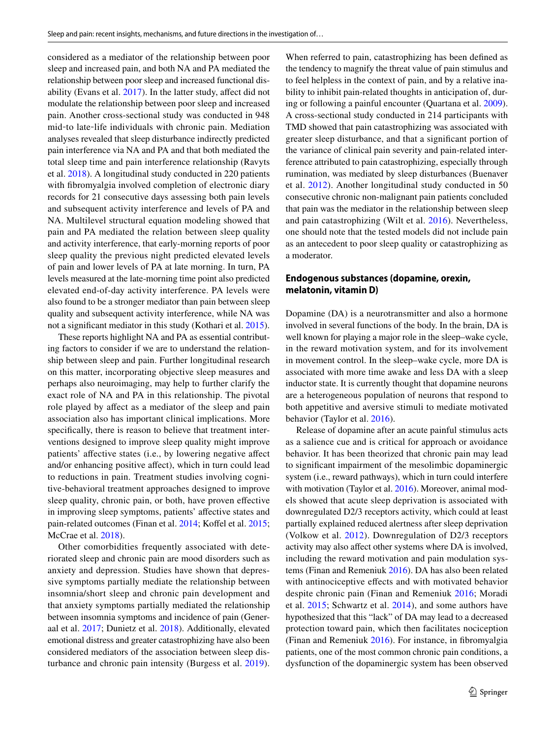considered as a mediator of the relationship between poor sleep and increased pain, and both NA and PA mediated the relationship between poor sleep and increased functional disability (Evans et al.  $2017$ ). In the latter study, affect did not modulate the relationship between poor sleep and increased pain. Another cross-sectional study was conducted in 948 mid‐to late‐life individuals with chronic pain. Mediation analyses revealed that sleep disturbance indirectly predicted pain interference via NA and PA and that both mediated the total sleep time and pain interference relationship (Ravyts et al. [2018\)](#page-12-24). A longitudinal study conducted in 220 patients with fbromyalgia involved completion of electronic diary records for 21 consecutive days assessing both pain levels and subsequent activity interference and levels of PA and NA. Multilevel structural equation modeling showed that pain and PA mediated the relation between sleep quality and activity interference, that early-morning reports of poor sleep quality the previous night predicted elevated levels of pain and lower levels of PA at late morning. In turn, PA levels measured at the late-morning time point also predicted elevated end-of-day activity interference. PA levels were also found to be a stronger mediator than pain between sleep quality and subsequent activity interference, while NA was not a signifcant mediator in this study (Kothari et al. [2015](#page-11-27)).

These reports highlight NA and PA as essential contributing factors to consider if we are to understand the relationship between sleep and pain. Further longitudinal research on this matter, incorporating objective sleep measures and perhaps also neuroimaging, may help to further clarify the exact role of NA and PA in this relationship. The pivotal role played by afect as a mediator of the sleep and pain association also has important clinical implications. More specifcally, there is reason to believe that treatment interventions designed to improve sleep quality might improve patients' afective states (i.e., by lowering negative afect and/or enhancing positive afect), which in turn could lead to reductions in pain. Treatment studies involving cognitive-behavioral treatment approaches designed to improve sleep quality, chronic pain, or both, have proven efective in improving sleep symptoms, patients' afective states and pain-related outcomes (Finan et al. [2014](#page-10-29); Koffel et al. [2015](#page-11-28); McCrae et al. [2018](#page-11-29)).

Other comorbidities frequently associated with deteriorated sleep and chronic pain are mood disorders such as anxiety and depression. Studies have shown that depressive symptoms partially mediate the relationship between insomnia/short sleep and chronic pain development and that anxiety symptoms partially mediated the relationship between insomnia symptoms and incidence of pain (Generaal et al. [2017](#page-10-30); Dunietz et al. [2018\)](#page-10-31). Additionally, elevated emotional distress and greater catastrophizing have also been considered mediators of the association between sleep disturbance and chronic pain intensity (Burgess et al. [2019](#page-9-10)). When referred to pain, catastrophizing has been defned as the tendency to magnify the threat value of pain stimulus and to feel helpless in the context of pain, and by a relative inability to inhibit pain-related thoughts in anticipation of, during or following a painful encounter (Quartana et al. [2009](#page-12-25)). A cross-sectional study conducted in 214 participants with TMD showed that pain catastrophizing was associated with greater sleep disturbance, and that a signifcant portion of the variance of clinical pain severity and pain-related interference attributed to pain catastrophizing, especially through rumination, was mediated by sleep disturbances (Buenaver et al. [2012\)](#page-9-11). Another longitudinal study conducted in 50 consecutive chronic non-malignant pain patients concluded that pain was the mediator in the relationship between sleep and pain catastrophizing (Wilt et al. [2016\)](#page-13-23). Nevertheless, one should note that the tested models did not include pain as an antecedent to poor sleep quality or catastrophizing as a moderator.

# **Endogenous substances (dopamine, orexin, melatonin, vitamin D)**

Dopamine (DA) is a neurotransmitter and also a hormone involved in several functions of the body. In the brain, DA is well known for playing a major role in the sleep–wake cycle, in the reward motivation system, and for its involvement in movement control. In the sleep–wake cycle, more DA is associated with more time awake and less DA with a sleep inductor state. It is currently thought that dopamine neurons are a heterogeneous population of neurons that respond to both appetitive and aversive stimuli to mediate motivated behavior (Taylor et al. [2016\)](#page-13-24).

Release of dopamine after an acute painful stimulus acts as a salience cue and is critical for approach or avoidance behavior. It has been theorized that chronic pain may lead to signifcant impairment of the mesolimbic dopaminergic system (i.e., reward pathways), which in turn could interfere with motivation (Taylor et al. [2016\)](#page-13-24). Moreover, animal models showed that acute sleep deprivation is associated with downregulated D2/3 receptors activity, which could at least partially explained reduced alertness after sleep deprivation (Volkow et al. [2012](#page-13-25)). Downregulation of D2/3 receptors activity may also afect other systems where DA is involved, including the reward motivation and pain modulation systems (Finan and Remeniuk [2016\)](#page-10-32). DA has also been related with antinociceptive effects and with motivated behavior despite chronic pain (Finan and Remeniuk [2016;](#page-10-32) Moradi et al. [2015](#page-11-30); Schwartz et al. [2014\)](#page-12-26), and some authors have hypothesized that this "lack" of DA may lead to a decreased protection toward pain, which then facilitates nociception (Finan and Remeniuk [2016\)](#page-10-32). For instance, in fbromyalgia patients, one of the most common chronic pain conditions, a dysfunction of the dopaminergic system has been observed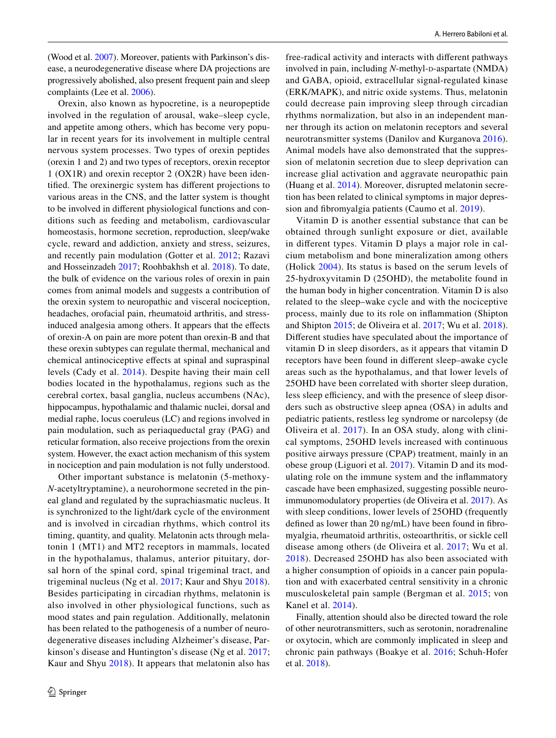(Wood et al. [2007](#page-13-26)). Moreover, patients with Parkinson's disease, a neurodegenerative disease where DA projections are progressively abolished, also present frequent pain and sleep complaints (Lee et al. [2006\)](#page-11-31).

Orexin, also known as hypocretine, is a neuropeptide involved in the regulation of arousal, wake–sleep cycle, and appetite among others, which has become very popular in recent years for its involvement in multiple central nervous system processes. Two types of orexin peptides (orexin 1 and 2) and two types of receptors, orexin receptor 1 (OX1R) and orexin receptor 2 (OX2R) have been identifed. The orexinergic system has diferent projections to various areas in the CNS, and the latter system is thought to be involved in diferent physiological functions and conditions such as feeding and metabolism, cardiovascular homeostasis, hormone secretion, reproduction, sleep/wake cycle, reward and addiction, anxiety and stress, seizures, and recently pain modulation (Gotter et al. [2012;](#page-10-33) Razavi and Hosseinzadeh [2017](#page-12-27); Roohbakhsh et al. [2018\)](#page-12-28). To date, the bulk of evidence on the various roles of orexin in pain comes from animal models and suggests a contribution of the orexin system to neuropathic and visceral nociception, headaches, orofacial pain, rheumatoid arthritis, and stressinduced analgesia among others. It appears that the effects of orexin-A on pain are more potent than orexin-B and that these orexin subtypes can regulate thermal, mechanical and chemical antinociceptive efects at spinal and supraspinal levels (Cady et al. [2014\)](#page-9-12). Despite having their main cell bodies located in the hypothalamus, regions such as the cerebral cortex, basal ganglia, nucleus accumbens (NAc), hippocampus, hypothalamic and thalamic nuclei, dorsal and medial raphe, locus coeruleus (LC) and regions involved in pain modulation, such as periaqueductal gray (PAG) and reticular formation, also receive projections from the orexin system. However, the exact action mechanism of this system in nociception and pain modulation is not fully understood.

Other important substance is melatonin (5-methoxy-*N*-acetyltryptamine), a neurohormone secreted in the pineal gland and regulated by the suprachiasmatic nucleus. It is synchronized to the light/dark cycle of the environment and is involved in circadian rhythms, which control its timing, quantity, and quality. Melatonin acts through melatonin 1 (MT1) and MT2 receptors in mammals, located in the hypothalamus, thalamus, anterior pituitary, dorsal horn of the spinal cord, spinal trigeminal tract, and trigeminal nucleus (Ng et al. [2017;](#page-12-29) Kaur and Shyu [2018](#page-11-32)). Besides participating in circadian rhythms, melatonin is also involved in other physiological functions, such as mood states and pain regulation. Additionally, melatonin has been related to the pathogenesis of a number of neurodegenerative diseases including Alzheimer's disease, Parkinson's disease and Huntington's disease (Ng et al. [2017](#page-12-29); Kaur and Shyu [2018\)](#page-11-32). It appears that melatonin also has

free-radical activity and interacts with diferent pathways involved in pain, including *N*-methyl-D-aspartate (NMDA) and GABA, opioid, extracellular signal-regulated kinase (ERK/MAPK), and nitric oxide systems. Thus, melatonin could decrease pain improving sleep through circadian rhythms normalization, but also in an independent manner through its action on melatonin receptors and several neurotransmitter systems (Danilov and Kurganova [2016](#page-10-34)). Animal models have also demonstrated that the suppression of melatonin secretion due to sleep deprivation can increase glial activation and aggravate neuropathic pain (Huang et al. [2014](#page-10-35)). Moreover, disrupted melatonin secretion has been related to clinical symptoms in major depression and fbromyalgia patients (Caumo et al. [2019\)](#page-10-36).

Vitamin D is another essential substance that can be obtained through sunlight exposure or diet, available in diferent types. Vitamin D plays a major role in calcium metabolism and bone mineralization among others (Holick [2004](#page-10-37)). Its status is based on the serum levels of 25-hydroxyvitamin D (25OHD), the metabolite found in the human body in higher concentration. Vitamin D is also related to the sleep–wake cycle and with the nociceptive process, mainly due to its role on infammation (Shipton and Shipton [2015](#page-12-30); de Oliveira et al. [2017;](#page-10-38) Wu et al. [2018](#page-13-27)). Diferent studies have speculated about the importance of vitamin D in sleep disorders, as it appears that vitamin D receptors have been found in diferent sleep–awake cycle areas such as the hypothalamus, and that lower levels of 25OHD have been correlated with shorter sleep duration, less sleep efficiency, and with the presence of sleep disorders such as obstructive sleep apnea (OSA) in adults and pediatric patients, restless leg syndrome or narcolepsy (de Oliveira et al. [2017](#page-10-38)). In an OSA study, along with clinical symptoms, 25OHD levels increased with continuous positive airways pressure (CPAP) treatment, mainly in an obese group (Liguori et al. [2017\)](#page-11-33). Vitamin D and its modulating role on the immune system and the infammatory cascade have been emphasized, suggesting possible neuroimmunomodulatory properties (de Oliveira et al. [2017\)](#page-10-38). As with sleep conditions, lower levels of 25OHD (frequently defned as lower than 20 ng/mL) have been found in fbromyalgia, rheumatoid arthritis, osteoarthritis, or sickle cell disease among others (de Oliveira et al. [2017;](#page-10-38) Wu et al. [2018](#page-13-27)). Decreased 25OHD has also been associated with a higher consumption of opioids in a cancer pain population and with exacerbated central sensitivity in a chronic musculoskeletal pain sample (Bergman et al. [2015;](#page-9-13) von Kanel et al. [2014](#page-13-28)).

Finally, attention should also be directed toward the role of other neurotransmitters, such as serotonin, noradrenaline or oxytocin, which are commonly implicated in sleep and chronic pain pathways (Boakye et al. [2016](#page-9-14); Schuh-Hofer et al. [2018](#page-12-31)).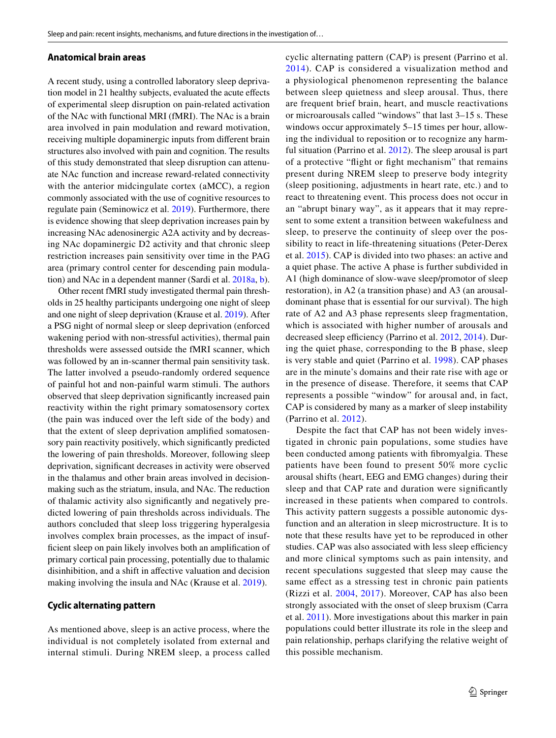#### **Anatomical brain areas**

A recent study, using a controlled laboratory sleep deprivation model in 21 healthy subjects, evaluated the acute efects of experimental sleep disruption on pain-related activation of the NAc with functional MRI (fMRI). The NAc is a brain area involved in pain modulation and reward motivation, receiving multiple dopaminergic inputs from diferent brain structures also involved with pain and cognition. The results of this study demonstrated that sleep disruption can attenuate NAc function and increase reward-related connectivity with the anterior midcingulate cortex (aMCC), a region commonly associated with the use of cognitive resources to regulate pain (Seminowicz et al. [2019](#page-12-32)). Furthermore, there is evidence showing that sleep deprivation increases pain by increasing NAc adenosinergic A2A activity and by decreasing NAc dopaminergic D2 activity and that chronic sleep restriction increases pain sensitivity over time in the PAG area (primary control center for descending pain modulation) and NAc in a dependent manner (Sardi et al. [2018a,](#page-12-33) [b](#page-12-34)).

Other recent fMRI study investigated thermal pain thresholds in 25 healthy participants undergoing one night of sleep and one night of sleep deprivation (Krause et al. [2019](#page-11-34)). After a PSG night of normal sleep or sleep deprivation (enforced wakening period with non-stressful activities), thermal pain thresholds were assessed outside the fMRI scanner, which was followed by an in-scanner thermal pain sensitivity task. The latter involved a pseudo-randomly ordered sequence of painful hot and non-painful warm stimuli. The authors observed that sleep deprivation signifcantly increased pain reactivity within the right primary somatosensory cortex (the pain was induced over the left side of the body) and that the extent of sleep deprivation amplifed somatosensory pain reactivity positively, which signifcantly predicted the lowering of pain thresholds. Moreover, following sleep deprivation, signifcant decreases in activity were observed in the thalamus and other brain areas involved in decisionmaking such as the striatum, insula, and NAc. The reduction of thalamic activity also signifcantly and negatively predicted lowering of pain thresholds across individuals. The authors concluded that sleep loss triggering hyperalgesia involves complex brain processes, as the impact of insuffcient sleep on pain likely involves both an amplifcation of primary cortical pain processing, potentially due to thalamic disinhibition, and a shift in afective valuation and decision making involving the insula and NAc (Krause et al. [2019](#page-11-34)).

#### **Cyclic alternating pattern**

As mentioned above, sleep is an active process, where the individual is not completely isolated from external and internal stimuli. During NREM sleep, a process called cyclic alternating pattern (CAP) is present (Parrino et al. [2014\)](#page-12-35). CAP is considered a visualization method and a physiological phenomenon representing the balance between sleep quietness and sleep arousal. Thus, there are frequent brief brain, heart, and muscle reactivations or microarousals called "windows" that last 3–15 s. These windows occur approximately 5–15 times per hour, allowing the individual to reposition or to recognize any harmful situation (Parrino et al. [2012\)](#page-12-36). The sleep arousal is part of a protective "fight or fght mechanism" that remains present during NREM sleep to preserve body integrity (sleep positioning, adjustments in heart rate, etc.) and to react to threatening event. This process does not occur in an "abrupt binary way", as it appears that it may represent to some extent a transition between wakefulness and sleep, to preserve the continuity of sleep over the possibility to react in life-threatening situations (Peter-Derex et al. [2015\)](#page-12-11). CAP is divided into two phases: an active and a quiet phase. The active A phase is further subdivided in A1 (high dominance of slow-wave sleep/promotor of sleep restoration), in A2 (a transition phase) and A3 (an arousaldominant phase that is essential for our survival). The high rate of A2 and A3 phase represents sleep fragmentation, which is associated with higher number of arousals and decreased sleep efficiency (Parrino et al. [2012](#page-12-36), [2014](#page-12-35)). During the quiet phase, corresponding to the B phase, sleep is very stable and quiet (Parrino et al. [1998](#page-12-37)). CAP phases are in the minute's domains and their rate rise with age or in the presence of disease. Therefore, it seems that CAP represents a possible "window" for arousal and, in fact, CAP is considered by many as a marker of sleep instability (Parrino et al. [2012](#page-12-36)).

Despite the fact that CAP has not been widely investigated in chronic pain populations, some studies have been conducted among patients with fbromyalgia. These patients have been found to present 50% more cyclic arousal shifts (heart, EEG and EMG changes) during their sleep and that CAP rate and duration were signifcantly increased in these patients when compared to controls. This activity pattern suggests a possible autonomic dysfunction and an alteration in sleep microstructure. It is to note that these results have yet to be reproduced in other studies. CAP was also associated with less sleep efficiency and more clinical symptoms such as pain intensity, and recent speculations suggested that sleep may cause the same effect as a stressing test in chronic pain patients (Rizzi et al. [2004,](#page-12-38) [2017\)](#page-12-39). Moreover, CAP has also been strongly associated with the onset of sleep bruxism (Carra et al. [2011](#page-10-39)). More investigations about this marker in pain populations could better illustrate its role in the sleep and pain relationship, perhaps clarifying the relative weight of this possible mechanism.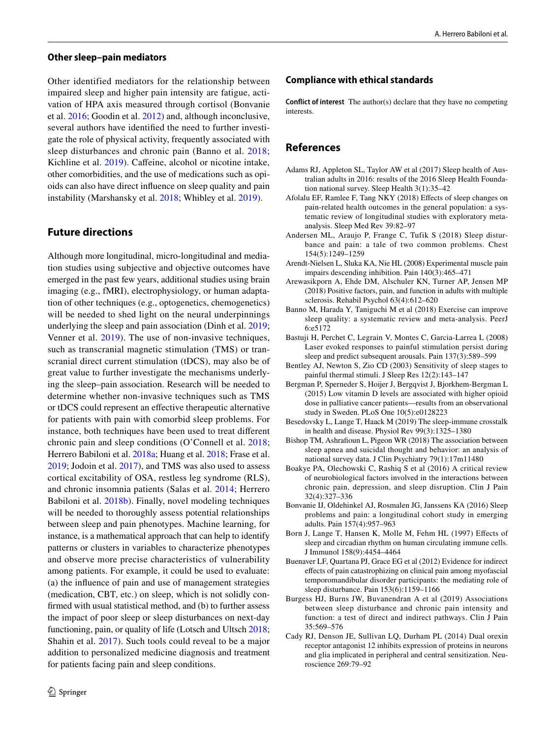#### **Other sleep–pain mediators**

Other identified mediators for the relationship between impaired sleep and higher pain intensity are fatigue, activation of HPA axis measured through cortisol (Bonvanie et al. [2016;](#page-9-15) Goodin et al. [2012\)](#page-10-40) and, although inconclusive, several authors have identifed the need to further investigate the role of physical activity, frequently associated with sleep disturbances and chronic pain (Banno et al. [2018](#page-9-16); Kichline et al. [2019](#page-11-35)). Cafeine, alcohol or nicotine intake, other comorbidities, and the use of medications such as opioids can also have direct infuence on sleep quality and pain instability (Marshansky et al. [2018](#page-11-36); Whibley et al. [2019\)](#page-13-29).

# **Future directions**

Although more longitudinal, micro-longitudinal and mediation studies using subjective and objective outcomes have emerged in the past few years, additional studies using brain imaging (e.g., fMRI), electrophysiology, or human adaptation of other techniques (e.g., optogenetics, chemogenetics) will be needed to shed light on the neural underpinnings underlying the sleep and pain association (Dinh et al. [2019](#page-10-41); Venner et al. [2019\)](#page-13-30). The use of non-invasive techniques, such as transcranial magnetic stimulation (TMS) or transcranial direct current stimulation (tDCS), may also be of great value to further investigate the mechanisms underlying the sleep–pain association. Research will be needed to determine whether non-invasive techniques such as TMS or tDCS could represent an efective therapeutic alternative for patients with pain with comorbid sleep problems. For instance, both techniques have been used to treat diferent chronic pain and sleep conditions (O'Connell et al. [2018](#page-12-40); Herrero Babiloni et al. [2018a](#page-10-42); Huang et al. [2018](#page-11-37); Frase et al. [2019](#page-10-43); Jodoin et al. [2017\)](#page-11-38), and TMS was also used to assess cortical excitability of OSA, restless leg syndrome (RLS), and chronic insomnia patients (Salas et al. [2014;](#page-12-41) Herrero Babiloni et al. [2018b](#page-10-44)). Finally, novel modeling techniques will be needed to thoroughly assess potential relationships between sleep and pain phenotypes. Machine learning, for instance, is a mathematical approach that can help to identify patterns or clusters in variables to characterize phenotypes and observe more precise characteristics of vulnerability among patients. For example, it could be used to evaluate: (a) the infuence of pain and use of management strategies (medication, CBT, etc.) on sleep, which is not solidly confrmed with usual statistical method, and (b) to further assess the impact of poor sleep or sleep disturbances on next-day functioning, pain, or quality of life (Lotsch and Ultsch [2018](#page-11-39); Shahin et al. [2017](#page-12-42)). Such tools could reveal to be a major addition to personalized medicine diagnosis and treatment for patients facing pain and sleep conditions.

#### **Compliance with ethical standards**

**Conflict of interest** The author(s) declare that they have no competing interests.

# **References**

- <span id="page-9-0"></span>Adams RJ, Appleton SL, Taylor AW et al (2017) Sleep health of Australian adults in 2016: results of the 2016 Sleep Health Foundation national survey. Sleep Health 3(1):35–42
- <span id="page-9-2"></span>Afolalu EF, Ramlee F, Tang NKY (2018) Efects of sleep changes on pain-related health outcomes in the general population: a systematic review of longitudinal studies with exploratory metaanalysis. Sleep Med Rev 39:82–97
- <span id="page-9-3"></span>Andersen ML, Araujo P, Frange C, Tufik S (2018) Sleep disturbance and pain: a tale of two common problems. Chest 154(5):1249–1259
- <span id="page-9-6"></span>Arendt-Nielsen L, Sluka KA, Nie HL (2008) Experimental muscle pain impairs descending inhibition. Pain 140(3):465–471
- <span id="page-9-9"></span>Arewasikporn A, Ehde DM, Alschuler KN, Turner AP, Jensen MP (2018) Positive factors, pain, and function in adults with multiple sclerosis. Rehabil Psychol 63(4):612–620
- <span id="page-9-16"></span>Banno M, Harada Y, Taniguchi M et al (2018) Exercise can improve sleep quality: a systematic review and meta-analysis. PeerJ 6:e5172
- <span id="page-9-4"></span>Bastuji H, Perchet C, Legrain V, Montes C, Garcia-Larrea L (2008) Laser evoked responses to painful stimulation persist during sleep and predict subsequent arousals. Pain 137(3):589–599
- <span id="page-9-5"></span>Bentley AJ, Newton S, Zio CD (2003) Sensitivity of sleep stages to painful thermal stimuli. J Sleep Res 12(2):143–147
- <span id="page-9-13"></span>Bergman P, Sperneder S, Hoijer J, Bergqvist J, Bjorkhem-Bergman L (2015) Low vitamin D levels are associated with higher opioid dose in palliative cancer patients—results from an observational study in Sweden. PLoS One 10(5):e0128223
- <span id="page-9-8"></span>Besedovsky L, Lange T, Haack M (2019) The sleep-immune crosstalk in health and disease. Physiol Rev 99(3):1325–1380
- <span id="page-9-1"></span>Bishop TM, Ashrafoun L, Pigeon WR (2018) The association between sleep apnea and suicidal thought and behavior: an analysis of national survey data. J Clin Psychiatry 79(1):17m11480
- <span id="page-9-14"></span>Boakye PA, Olechowski C, Rashiq S et al (2016) A critical review of neurobiological factors involved in the interactions between chronic pain, depression, and sleep disruption. Clin J Pain 32(4):327–336
- <span id="page-9-15"></span>Bonvanie IJ, Oldehinkel AJ, Rosmalen JG, Janssens KA (2016) Sleep problems and pain: a longitudinal cohort study in emerging adults. Pain 157(4):957–963
- <span id="page-9-7"></span>Born J, Lange T, Hansen K, Molle M, Fehm HL (1997) Effects of sleep and circadian rhythm on human circulating immune cells. J Immunol 158(9):4454–4464
- <span id="page-9-11"></span>Buenaver LF, Quartana PJ, Grace EG et al (2012) Evidence for indirect efects of pain catastrophizing on clinical pain among myofascial temporomandibular disorder participants: the mediating role of sleep disturbance. Pain 153(6):1159–1166
- <span id="page-9-10"></span>Burgess HJ, Burns JW, Buvanendran A et al (2019) Associations between sleep disturbance and chronic pain intensity and function: a test of direct and indirect pathways. Clin J Pain 35:569–576
- <span id="page-9-12"></span>Cady RJ, Denson JE, Sullivan LQ, Durham PL (2014) Dual orexin receptor antagonist 12 inhibits expression of proteins in neurons and glia implicated in peripheral and central sensitization. Neuroscience 269:79–92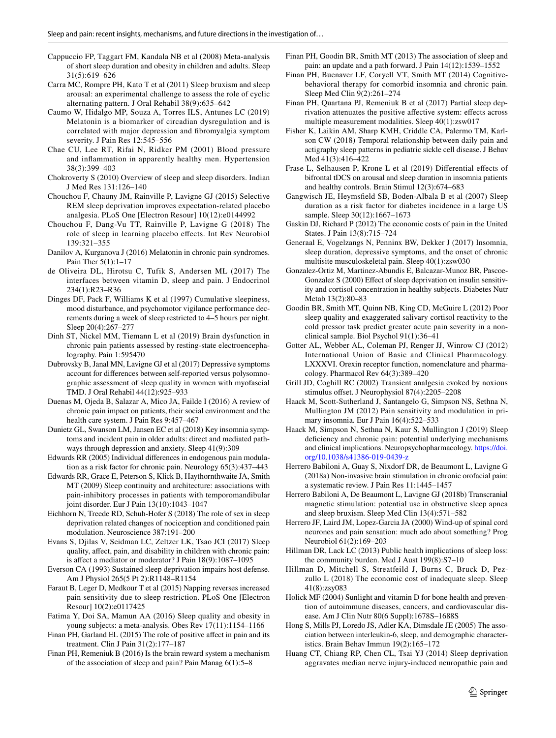<span id="page-10-4"></span>Cappuccio FP, Taggart FM, Kandala NB et al (2008) Meta-analysis of short sleep duration and obesity in children and adults. Sleep 31(5):619–626

<span id="page-10-39"></span>Carra MC, Rompre PH, Kato T et al (2011) Sleep bruxism and sleep arousal: an experimental challenge to assess the role of cyclic alternating pattern. J Oral Rehabil 38(9):635–642

<span id="page-10-36"></span>Caumo W, Hidalgo MP, Souza A, Torres ILS, Antunes LC (2019) Melatonin is a biomarker of circadian dysregulation and is correlated with major depression and fbromyalgia symptom severity. J Pain Res 12:545–556

<span id="page-10-24"></span>Chae CU, Lee RT, Rifai N, Ridker PM (2001) Blood pressure and infammation in apparently healthy men. Hypertension 38(3):399–403

<span id="page-10-0"></span>Chokroverty S (2010) Overview of sleep and sleep disorders. Indian J Med Res 131:126–140

<span id="page-10-15"></span>Chouchou F, Chauny JM, Rainville P, Lavigne GJ (2015) Selective REM sleep deprivation improves expectation-related placebo analgesia. PLoS One [Electron Resour] 10(12):e0144992

<span id="page-10-14"></span>Chouchou F, Dang-Vu TT, Rainville P, Lavigne G (2018) The role of sleep in learning placebo efects. Int Rev Neurobiol 139:321–355

<span id="page-10-34"></span>Danilov A, Kurganova J (2016) Melatonin in chronic pain syndromes. Pain Ther 5(1):1–17

<span id="page-10-38"></span>de Oliveira DL, Hirotsu C, Tufik S, Andersen ML (2017) The interfaces between vitamin D, sleep and pain. J Endocrinol 234(1):R23–R36

<span id="page-10-2"></span>Dinges DF, Pack F, Williams K et al (1997) Cumulative sleepiness, mood disturbance, and psychomotor vigilance performance decrements during a week of sleep restricted to 4–5 hours per night. Sleep 20(4):267–277

<span id="page-10-41"></span>Dinh ST, Nickel MM, Tiemann L et al (2019) Brain dysfunction in chronic pain patients assessed by resting-state electroencephalography. Pain 1:595470

<span id="page-10-13"></span>Dubrovsky B, Janal MN, Lavigne GJ et al (2017) Depressive symptoms account for diferences between self-reported versus polysomnographic assessment of sleep quality in women with myofascial TMD. J Oral Rehabil 44(12):925–933

<span id="page-10-8"></span>Duenas M, Ojeda B, Salazar A, Mico JA, Failde I (2016) A review of chronic pain impact on patients, their social environment and the health care system. J Pain Res 9:457–467

<span id="page-10-31"></span>Dunietz GL, Swanson LM, Jansen EC et al (2018) Key insomnia symptoms and incident pain in older adults: direct and mediated pathways through depression and anxiety. Sleep 41(9):309

<span id="page-10-18"></span>Edwards RR (2005) Individual diferences in endogenous pain modulation as a risk factor for chronic pain. Neurology 65(3):437–443

<span id="page-10-21"></span>Edwards RR, Grace E, Peterson S, Klick B, Haythornthwaite JA, Smith MT (2009) Sleep continuity and architecture: associations with pain-inhibitory processes in patients with temporomandibular joint disorder. Eur J Pain 13(10):1043–1047

<span id="page-10-20"></span>Eichhorn N, Treede RD, Schuh-Hofer S (2018) The role of sex in sleep deprivation related changes of nociception and conditioned pain modulation. Neuroscience 387:191–200

<span id="page-10-28"></span>Evans S, Djilas V, Seidman LC, Zeltzer LK, Tsao JCI (2017) Sleep quality, afect, pain, and disability in children with chronic pain: is afect a mediator or moderator? J Pain 18(9):1087–1095

<span id="page-10-23"></span>Everson CA (1993) Sustained sleep deprivation impairs host defense. Am J Physiol 265(5 Pt 2):R1148–R1154

<span id="page-10-10"></span>Faraut B, Leger D, Medkour T et al (2015) Napping reverses increased pain sensitivity due to sleep restriction. PLoS One [Electron Resour] 10(2):e0117425

<span id="page-10-3"></span>Fatima Y, Doi SA, Mamun AA (2016) Sleep quality and obesity in young subjects: a meta-analysis. Obes Rev 17(11):1154–1166

<span id="page-10-27"></span>Finan PH, Garland EL (2015) The role of positive affect in pain and its treatment. Clin J Pain 31(2):177–187

<span id="page-10-32"></span>Finan PH, Remeniuk B (2016) Is the brain reward system a mechanism of the association of sleep and pain? Pain Manag 6(1):5–8

<span id="page-10-9"></span>Finan PH, Goodin BR, Smith MT (2013) The association of sleep and pain: an update and a path forward. J Pain 14(12):1539–1552

<span id="page-10-29"></span>Finan PH, Buenaver LF, Coryell VT, Smith MT (2014) Cognitivebehavioral therapy for comorbid insomnia and chronic pain. Sleep Med Clin 9(2):261–274

<span id="page-10-26"></span>Finan PH, Quartana PJ, Remeniuk B et al (2017) Partial sleep deprivation attenuates the positive afective system: efects across multiple measurement modalities. Sleep 40(1):zsw017

<span id="page-10-12"></span>Fisher K, Laikin AM, Sharp KMH, Criddle CA, Palermo TM, Karlson CW (2018) Temporal relationship between daily pain and actigraphy sleep patterns in pediatric sickle cell disease. J Behav Med 41(3):416–422

<span id="page-10-43"></span>Frase L, Selhausen P, Krone L et al (2019) Diferential efects of bifrontal tDCS on arousal and sleep duration in insomnia patients and healthy controls. Brain Stimul 12(3):674–683

<span id="page-10-5"></span>Gangwisch JE, Heymsfeld SB, Boden-Albala B et al (2007) Sleep duration as a risk factor for diabetes incidence in a large US sample. Sleep 30(12):1667–1673

<span id="page-10-7"></span>Gaskin DJ, Richard P (2012) The economic costs of pain in the United States. J Pain 13(8):715–724

<span id="page-10-30"></span>Generaal E, Vogelzangs N, Penninx BW, Dekker J (2017) Insomnia, sleep duration, depressive symptoms, and the onset of chronic multisite musculoskeletal pain. Sleep 40(1):zsw030

<span id="page-10-25"></span>Gonzalez-Ortiz M, Martinez-Abundis E, Balcazar-Munoz BR, Pascoe-Gonzalez S (2000) Effect of sleep deprivation on insulin sensitivity and cortisol concentration in healthy subjects. Diabetes Nutr Metab 13(2):80–83

<span id="page-10-40"></span>Goodin BR, Smith MT, Quinn NB, King CD, McGuire L (2012) Poor sleep quality and exaggerated salivary cortisol reactivity to the cold pressor task predict greater acute pain severity in a nonclinical sample. Biol Psychol 91(1):36–41

<span id="page-10-33"></span>Gotter AL, Webber AL, Coleman PJ, Renger JJ, Winrow CJ (2012) International Union of Basic and Clinical Pharmacology. LXXXVI. Orexin receptor function, nomenclature and pharmacology. Pharmacol Rev 64(3):389–420

<span id="page-10-17"></span>Grill JD, Coghill RC (2002) Transient analgesia evoked by noxious stimulus offset. J Neurophysiol 87(4):2205-2208

<span id="page-10-19"></span>Haack M, Scott-Sutherland J, Santangelo G, Simpson NS, Sethna N, Mullington JM (2012) Pain sensitivity and modulation in primary insomnia. Eur J Pain 16(4):522–533

<span id="page-10-11"></span>Haack M, Simpson N, Sethna N, Kaur S, Mullington J (2019) Sleep defciency and chronic pain: potential underlying mechanisms and clinical implications. Neuropsychopharmacology. [https://doi.](https://doi.org/10.1038/s41386-019-0439-z) [org/10.1038/s41386-019-0439-z](https://doi.org/10.1038/s41386-019-0439-z)

<span id="page-10-42"></span>Herrero Babiloni A, Guay S, Nixdorf DR, de Beaumont L, Lavigne G (2018a) Non-invasive brain stimulation in chronic orofacial pain: a systematic review. J Pain Res 11:1445–1457

<span id="page-10-44"></span>Herrero Babiloni A, De Beaumont L, Lavigne GJ (2018b) Transcranial magnetic stimulation: potential use in obstructive sleep apnea and sleep bruxism. Sleep Med Clin 13(4):571–582

<span id="page-10-16"></span>Herrero JF, Laird JM, Lopez-Garcia JA (2000) Wind-up of spinal cord neurones and pain sensation: much ado about something? Prog Neurobiol 61(2):169–203

<span id="page-10-1"></span>Hillman DR, Lack LC (2013) Public health implications of sleep loss: the community burden. Med J Aust 199(8):S7–10

<span id="page-10-6"></span>Hillman D, Mitchell S, Streatfeild J, Burns C, Bruck D, Pezzullo L (2018) The economic cost of inadequate sleep. Sleep 41(8):zsy083

<span id="page-10-37"></span>Holick MF (2004) Sunlight and vitamin D for bone health and prevention of autoimmune diseases, cancers, and cardiovascular disease. Am J Clin Nutr 80(6 Suppl):1678S–1688S

<span id="page-10-22"></span>Hong S, Mills PJ, Loredo JS, Adler KA, Dimsdale JE (2005) The association between interleukin-6, sleep, and demographic characteristics. Brain Behav Immun 19(2):165–172

<span id="page-10-35"></span>Huang CT, Chiang RP, Chen CL, Tsai YJ (2014) Sleep deprivation aggravates median nerve injury-induced neuropathic pain and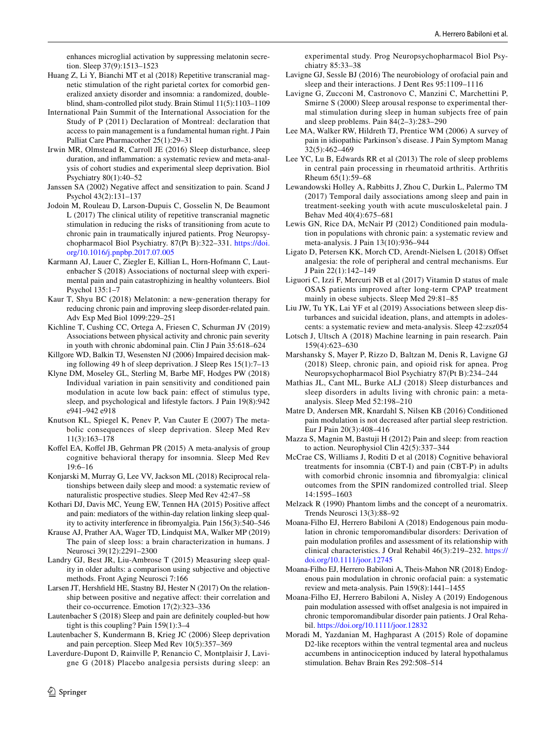enhances microglial activation by suppressing melatonin secretion. Sleep 37(9):1513–1523

- <span id="page-11-37"></span>Huang Z, Li Y, Bianchi MT et al (2018) Repetitive transcranial magnetic stimulation of the right parietal cortex for comorbid generalized anxiety disorder and insomnia: a randomized, doubleblind, sham-controlled pilot study. Brain Stimul 11(5):1103–1109
- <span id="page-11-3"></span>International Pain Summit of the International Association for the Study of P (2011) Declaration of Montreal: declaration that access to pain management is a fundamental human right. J Pain Palliat Care Pharmacother 25(1):29–31
- <span id="page-11-22"></span>Irwin MR, Olmstead R, Carroll JE (2016) Sleep disturbance, sleep duration, and infammation: a systematic review and meta-analysis of cohort studies and experimental sleep deprivation. Biol Psychiatry 80(1):40–52
- <span id="page-11-26"></span>Janssen SA (2002) Negative afect and sensitization to pain. Scand J Psychol 43(2):131–137
- <span id="page-11-38"></span>Jodoin M, Rouleau D, Larson-Dupuis C, Gosselin N, De Beaumont L (2017) The clinical utility of repetitive transcranial magnetic stimulation in reducing the risks of transitioning from acute to chronic pain in traumatically injured patients. Prog Neuropsychopharmacol Biol Psychiatry. 87(Pt B):322–331. [https://doi.](https://doi.org/10.1016/j.pnpbp.2017.07.005) [org/10.1016/j.pnpbp.2017.07.005](https://doi.org/10.1016/j.pnpbp.2017.07.005)
- <span id="page-11-18"></span>Karmann AJ, Lauer C, Ziegler E, Killian L, Horn-Hofmann C, Lautenbacher S (2018) Associations of nocturnal sleep with experimental pain and pain catastrophizing in healthy volunteers. Biol Psychol 135:1–7
- <span id="page-11-32"></span>Kaur T, Shyu BC (2018) Melatonin: a new-generation therapy for reducing chronic pain and improving sleep disorder-related pain. Adv Exp Med Biol 1099:229–251
- <span id="page-11-35"></span>Kichline T, Cushing CC, Ortega A, Friesen C, Schurman JV (2019) Associations between physical activity and chronic pain severity in youth with chronic abdominal pain. Clin J Pain 35:618–624
- <span id="page-11-0"></span>Killgore WD, Balkin TJ, Wesensten NJ (2006) Impaired decision making following 49 h of sleep deprivation. J Sleep Res 15(1):7–13
- <span id="page-11-19"></span>Klyne DM, Moseley GL, Sterling M, Barbe MF, Hodges PW (2018) Individual variation in pain sensitivity and conditioned pain modulation in acute low back pain: efect of stimulus type, sleep, and psychological and lifestyle factors. J Pain 19(8):942 e941–942 e918
- <span id="page-11-23"></span>Knutson KL, Spiegel K, Penev P, Van Cauter E (2007) The metabolic consequences of sleep deprivation. Sleep Med Rev 11(3):163–178
- <span id="page-11-28"></span>Koffel EA, Koffel JB, Gehrman PR (2015) A meta-analysis of group cognitive behavioral therapy for insomnia. Sleep Med Rev 19:6–16
- <span id="page-11-25"></span>Konjarski M, Murray G, Lee VV, Jackson ML (2018) Reciprocal relationships between daily sleep and mood: a systematic review of naturalistic prospective studies. Sleep Med Rev 42:47–58
- <span id="page-11-27"></span>Kothari DJ, Davis MC, Yeung EW, Tennen HA (2015) Positive afect and pain: mediators of the within-day relation linking sleep quality to activity interference in fbromyalgia. Pain 156(3):540–546
- <span id="page-11-34"></span>Krause AJ, Prather AA, Wager TD, Lindquist MA, Walker MP (2019) The pain of sleep loss: a brain characterization in humans. J Neurosci 39(12):2291–2300
- <span id="page-11-10"></span>Landry GJ, Best JR, Liu-Ambrose T (2015) Measuring sleep quality in older adults: a comparison using subjective and objective methods. Front Aging Neurosci 7:166
- <span id="page-11-24"></span>Larsen JT, Hershfeld HE, Stastny BJ, Hester N (2017) On the relationship between positive and negative afect: their correlation and their co-occurrence. Emotion 17(2):323–336
- <span id="page-11-7"></span>Lautenbacher S (2018) Sleep and pain are defnitely coupled-but how tight is this coupling? Pain 159(1):3–4
- <span id="page-11-6"></span>Lautenbacher S, Kundermann B, Krieg JC (2006) Sleep deprivation and pain perception. Sleep Med Rev 10(5):357–369
- <span id="page-11-9"></span>Laverdure-Dupont D, Rainville P, Renancio C, Montplaisir J, Lavigne G (2018) Placebo analgesia persists during sleep: an

experimental study. Prog Neuropsychopharmacol Biol Psychiatry 85:33–38

- <span id="page-11-5"></span>Lavigne GJ, Sessle BJ (2016) The neurobiology of orofacial pain and sleep and their interactions. J Dent Res 95:1109–1116
- <span id="page-11-12"></span>Lavigne G, Zucconi M, Castronovo C, Manzini C, Marchettini P, Smirne S (2000) Sleep arousal response to experimental thermal stimulation during sleep in human subjects free of pain and sleep problems. Pain 84(2–3):283–290
- <span id="page-11-31"></span>Lee MA, Walker RW, Hildreth TJ, Prentice WM (2006) A survey of pain in idiopathic Parkinson's disease. J Pain Symptom Manag 32(5):462–469
- <span id="page-11-20"></span>Lee YC, Lu B, Edwards RR et al (2013) The role of sleep problems in central pain processing in rheumatoid arthritis. Arthritis Rheum 65(1):59–68
- <span id="page-11-8"></span>Lewandowski Holley A, Rabbitts J, Zhou C, Durkin L, Palermo TM (2017) Temporal daily associations among sleep and pain in treatment-seeking youth with acute musculoskeletal pain. J Behav Med 40(4):675–681
- <span id="page-11-14"></span>Lewis GN, Rice DA, McNair PJ (2012) Conditioned pain modulation in populations with chronic pain: a systematic review and meta-analysis. J Pain 13(10):936–944
- <span id="page-11-21"></span>Ligato D, Petersen KK, Morch CD, Arendt-Nielsen L (2018) Ofset analgesia: the role of peripheral and central mechanisms. Eur J Pain 22(1):142–149
- <span id="page-11-33"></span>Liguori C, Izzi F, Mercuri NB et al (2017) Vitamin D status of male OSAS patients improved after long-term CPAP treatment mainly in obese subjects. Sleep Med 29:81–85
- <span id="page-11-1"></span>Liu JW, Tu YK, Lai YF et al (2019) Associations between sleep disturbances and suicidal ideation, plans, and attempts in adolescents: a systematic review and meta-analysis. Sleep 42:zsz054
- <span id="page-11-39"></span>Lotsch J, Ultsch A (2018) Machine learning in pain research. Pain 159(4):623–630
- <span id="page-11-36"></span>Marshansky S, Mayer P, Rizzo D, Baltzan M, Denis R, Lavigne GJ (2018) Sleep, chronic pain, and opioid risk for apnea. Prog Neuropsychopharmacol Biol Psychiatry 87(Pt B):234–244
- <span id="page-11-4"></span>Mathias JL, Cant ML, Burke ALJ (2018) Sleep disturbances and sleep disorders in adults living with chronic pain: a metaanalysis. Sleep Med 52:198–210
- <span id="page-11-17"></span>Matre D, Andersen MR, Knardahl S, Nilsen KB (2016) Conditioned pain modulation is not decreased after partial sleep restriction. Eur J Pain 20(3):408–416
- <span id="page-11-11"></span>Mazza S, Magnin M, Bastuji H (2012) Pain and sleep: from reaction to action. Neurophysiol Clin 42(5):337–344
- <span id="page-11-29"></span>McCrae CS, Williams J, Roditi D et al (2018) Cognitive behavioral treatments for insomnia (CBT-I) and pain (CBT-P) in adults with comorbid chronic insomnia and fbromyalgia: clinical outcomes from the SPIN randomized controlled trial. Sleep 14:1595–1603
- <span id="page-11-2"></span>Melzack R (1990) Phantom limbs and the concept of a neuromatrix. Trends Neurosci 13(3):88–92
- <span id="page-11-16"></span>Moana-Filho EJ, Herrero Babiloni A (2018) Endogenous pain modulation in chronic temporomandibular disorders: Derivation of pain modulation profles and assessment of its relationship with clinical characteristics. J Oral Rehabil 46(3):219–232. [https://](https://doi.org/10.1111/joor.12745) [doi.org/10.1111/joor.12745](https://doi.org/10.1111/joor.12745)
- <span id="page-11-15"></span>Moana-Filho EJ, Herrero Babiloni A, Theis-Mahon NR (2018) Endogenous pain modulation in chronic orofacial pain: a systematic review and meta-analysis. Pain 159(8):1441–1455
- <span id="page-11-13"></span>Moana-Filho EJ, Herrero Babiloni A, Nisley A (2019) Endogenous pain modulation assessed with offset analgesia is not impaired in chronic temporomandibular disorder pain patients. J Oral Rehabil.<https://doi.org/10.1111/joor.12832>
- <span id="page-11-30"></span>Moradi M, Yazdanian M, Haghparast A (2015) Role of dopamine D2-like receptors within the ventral tegmental area and nucleus accumbens in antinociception induced by lateral hypothalamus stimulation. Behav Brain Res 292:508–514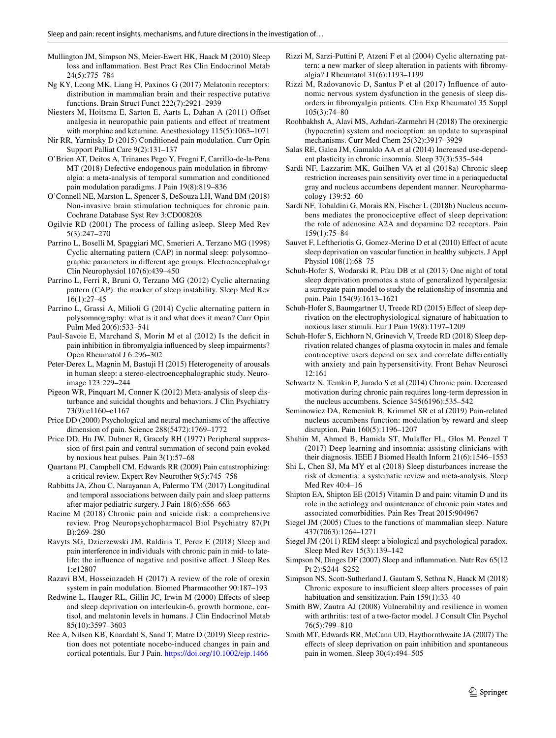- <span id="page-12-19"></span>Mullington JM, Simpson NS, Meier-Ewert HK, Haack M (2010) Sleep loss and infammation. Best Pract Res Clin Endocrinol Metab 24(5):775–784
- <span id="page-12-29"></span>Ng KY, Leong MK, Liang H, Paxinos G (2017) Melatonin receptors: distribution in mammalian brain and their respective putative functions. Brain Struct Funct 222(7):2921–2939
- <span id="page-12-18"></span>Niesters M, Hoitsma E, Sarton E, Aarts L, Dahan A (2011) Offset analgesia in neuropathic pain patients and efect of treatment with morphine and ketamine. Anesthesiology 115(5):1063–1071
- <span id="page-12-13"></span>Nir RR, Yarnitsky D (2015) Conditioned pain modulation. Curr Opin Support Palliat Care 9(2):131–137
- <span id="page-12-14"></span>O'Brien AT, Deitos A, Trinanes Pego Y, Fregni F, Carrillo-de-la-Pena MT (2018) Defective endogenous pain modulation in fbromyalgia: a meta-analysis of temporal summation and conditioned pain modulation paradigms. J Pain 19(8):819–836
- <span id="page-12-40"></span>O'Connell NE, Marston L, Spencer S, DeSouza LH, Wand BM (2018) Non-invasive brain stimulation techniques for chronic pain. Cochrane Database Syst Rev 3:CD008208
- <span id="page-12-1"></span>Ogilvie RD (2001) The process of falling asleep. Sleep Med Rev 5(3):247–270
- <span id="page-12-37"></span>Parrino L, Boselli M, Spaggiari MC, Smerieri A, Terzano MG (1998) Cyclic alternating pattern (CAP) in normal sleep: polysomnographic parameters in diferent age groups. Electroencephalogr Clin Neurophysiol 107(6):439–450
- <span id="page-12-36"></span>Parrino L, Ferri R, Bruni O, Terzano MG (2012) Cyclic alternating pattern (CAP): the marker of sleep instability. Sleep Med Rev 16(1):27–45
- <span id="page-12-35"></span>Parrino L, Grassi A, Milioli G (2014) Cyclic alternating pattern in polysomnography: what is it and what does it mean? Curr Opin Pulm Med 20(6):533–541
- <span id="page-12-17"></span>Paul-Savoie E, Marchand S, Morin M et al (2012) Is the deficit in pain inhibition in fbromyalgia infuenced by sleep impairments? Open Rheumatol J 6:296–302
- <span id="page-12-11"></span>Peter-Derex L, Magnin M, Bastuji H (2015) Heterogeneity of arousals in human sleep: a stereo-electroencephalographic study. Neuroimage 123:229–244
- <span id="page-12-4"></span>Pigeon WR, Pinquart M, Conner K (2012) Meta-analysis of sleep disturbance and suicidal thoughts and behaviors. J Clin Psychiatry 73(9):e1160–e1167
- <span id="page-12-5"></span>Price DD (2000) Psychological and neural mechanisms of the afective dimension of pain. Science 288(5472):1769–1772
- <span id="page-12-12"></span>Price DD, Hu JW, Dubner R, Gracely RH (1977) Peripheral suppression of frst pain and central summation of second pain evoked by noxious heat pulses. Pain 3(1):57–68
- <span id="page-12-25"></span>Quartana PJ, Campbell CM, Edwards RR (2009) Pain catastrophizing: a critical review. Expert Rev Neurother 9(5):745–758
- <span id="page-12-9"></span>Rabbitts JA, Zhou C, Narayanan A, Palermo TM (2017) Longitudinal and temporal associations between daily pain and sleep patterns after major pediatric surgery. J Pain 18(6):656–663
- <span id="page-12-6"></span>Racine M (2018) Chronic pain and suicide risk: a comprehensive review. Prog Neuropsychopharmacol Biol Psychiatry 87(Pt B):269–280
- <span id="page-12-24"></span>Ravyts SG, Dzierzewski JM, Raldiris T, Perez E (2018) Sleep and pain interference in individuals with chronic pain in mid- to latelife: the infuence of negative and positive afect. J Sleep Res 1:e12807
- <span id="page-12-27"></span>Razavi BM, Hosseinzadeh H (2017) A review of the role of orexin system in pain modulation. Biomed Pharmacother 90:187–193
- <span id="page-12-21"></span>Redwine L, Hauger RL, Gillin JC, Irwin M (2000) Efects of sleep and sleep deprivation on interleukin-6, growth hormone, cortisol, and melatonin levels in humans. J Clin Endocrinol Metab 85(10):3597–3603
- <span id="page-12-10"></span>Ree A, Nilsen KB, Knardahl S, Sand T, Matre D (2019) Sleep restriction does not potentiate nocebo-induced changes in pain and cortical potentials. Eur J Pain.<https://doi.org/10.1002/ejp.1466>
- <span id="page-12-38"></span>Rizzi M, Sarzi-Puttini P, Atzeni F et al (2004) Cyclic alternating pattern: a new marker of sleep alteration in patients with fbromyalgia? J Rheumatol 31(6):1193–1199
- <span id="page-12-39"></span>Rizzi M, Radovanovic D, Santus P et al (2017) Infuence of autonomic nervous system dysfunction in the genesis of sleep disorders in fbromyalgia patients. Clin Exp Rheumatol 35 Suppl 105(3):74–80
- <span id="page-12-28"></span>Roohbakhsh A, Alavi MS, Azhdari-Zarmehri H (2018) The orexinergic (hypocretin) system and nociception: an update to supraspinal mechanisms. Curr Med Chem 25(32):3917–3929
- <span id="page-12-41"></span>Salas RE, Galea JM, Gamaldo AA et al (2014) Increased use-dependent plasticity in chronic insomnia. Sleep 37(3):535–544
- <span id="page-12-33"></span>Sardi NF, Lazzarim MK, Guilhen VA et al (2018a) Chronic sleep restriction increases pain sensitivity over time in a periaqueductal gray and nucleus accumbens dependent manner. Neuropharmacology 139:52–60
- <span id="page-12-34"></span>Sardi NF, Tobaldini G, Morais RN, Fischer L (2018b) Nucleus accumbens mediates the pronociceptive effect of sleep deprivation: the role of adenosine A2A and dopamine D2 receptors. Pain 159(1):75–84
- <span id="page-12-22"></span>Sauvet F, Leftheriotis G, Gomez-Merino D et al (2010) Effect of acute sleep deprivation on vascular function in healthy subjects. J Appl Physiol 108(1):68–75
- <span id="page-12-7"></span>Schuh-Hofer S, Wodarski R, Pfau DB et al (2013) One night of total sleep deprivation promotes a state of generalized hyperalgesia: a surrogate pain model to study the relationship of insomnia and pain. Pain 154(9):1613–1621
- <span id="page-12-8"></span>Schuh-Hofer S, Baumgartner U, Treede RD (2015) Efect of sleep deprivation on the electrophysiological signature of habituation to noxious laser stimuli. Eur J Pain 19(8):1197–1209
- <span id="page-12-31"></span>Schuh-Hofer S, Eichhorn N, Grinevich V, Treede RD (2018) Sleep deprivation related changes of plasma oxytocin in males and female contraceptive users depend on sex and correlate diferentially with anxiety and pain hypersensitivity. Front Behav Neurosci 12:161
- <span id="page-12-26"></span>Schwartz N, Temkin P, Jurado S et al (2014) Chronic pain. Decreased motivation during chronic pain requires long-term depression in the nucleus accumbens. Science 345(6196):535–542
- <span id="page-12-32"></span>Seminowicz DA, Remeniuk B, Krimmel SR et al (2019) Pain-related nucleus accumbens function: modulation by reward and sleep disruption. Pain 160(5):1196–1207
- <span id="page-12-42"></span>Shahin M, Ahmed B, Hamida ST, Mulafer FL, Glos M, Penzel T (2017) Deep learning and insomnia: assisting clinicians with their diagnosis. IEEE J Biomed Health Inform 21(6):1546–1553
- <span id="page-12-3"></span>Shi L, Chen SJ, Ma MY et al (2018) Sleep disturbances increase the risk of dementia: a systematic review and meta-analysis. Sleep Med Rev 40:4–16
- <span id="page-12-30"></span>Shipton EA, Shipton EE (2015) Vitamin D and pain: vitamin D and its role in the aetiology and maintenance of chronic pain states and associated comorbidities. Pain Res Treat 2015:904967
- <span id="page-12-0"></span>Siegel JM (2005) Clues to the functions of mammalian sleep. Nature 437(7063):1264–1271
- <span id="page-12-2"></span>Siegel JM (2011) REM sleep: a biological and psychological paradox. Sleep Med Rev 15(3):139–142
- <span id="page-12-20"></span>Simpson N, Dinges DF (2007) Sleep and infammation. Nutr Rev 65(12 Pt 2):S244–S252
- <span id="page-12-16"></span>Simpson NS, Scott-Sutherland J, Gautam S, Sethna N, Haack M (2018) Chronic exposure to insufficient sleep alters processes of pain habituation and sensitization. Pain 159(1):33–40
- <span id="page-12-23"></span>Smith BW, Zautra AJ (2008) Vulnerability and resilience in women with arthritis: test of a two-factor model. J Consult Clin Psychol 76(5):799–810
- <span id="page-12-15"></span>Smith MT, Edwards RR, McCann UD, Haythornthwaite JA (2007) The efects of sleep deprivation on pain inhibition and spontaneous pain in women. Sleep 30(4):494–505